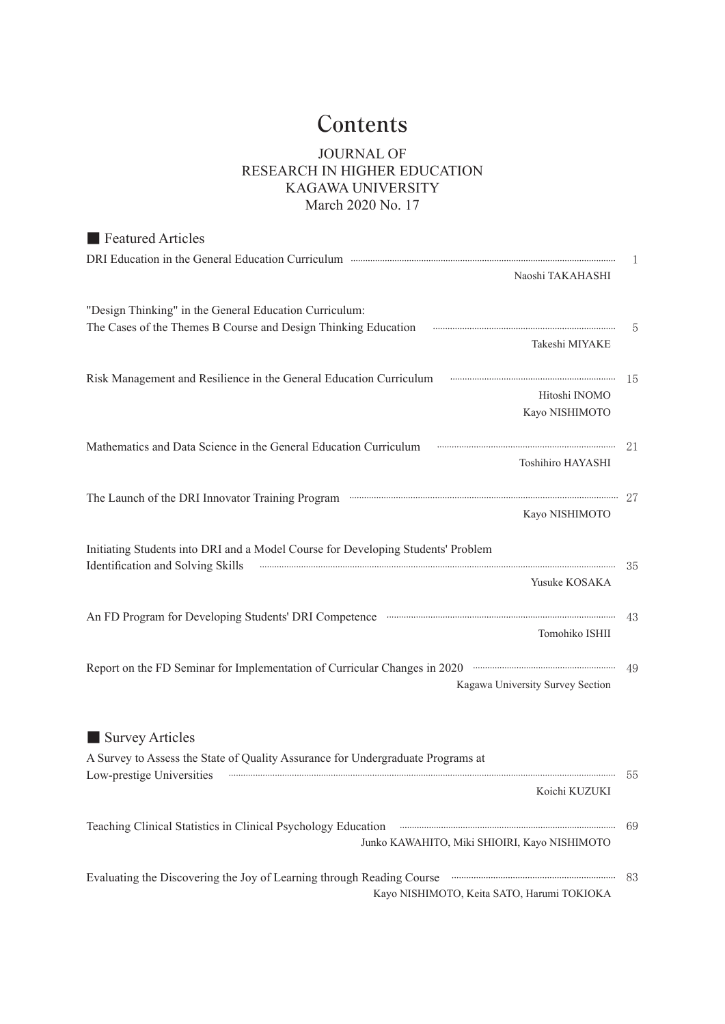## **Contents**

## JOURNAL OF RESEARCH IN HIGHER EDUCATION KAGAWA UNIVERSITY March 2020 No. 17

| <b>Executed Articles</b>                                                                                                                                                                                         |     |
|------------------------------------------------------------------------------------------------------------------------------------------------------------------------------------------------------------------|-----|
| DRI Education in the General Education Curriculum <b>Education</b> 2014 120 Million 2014 120 Million 2014 120 Million 2014                                                                                       |     |
| Naoshi TAKAHASHI                                                                                                                                                                                                 |     |
|                                                                                                                                                                                                                  |     |
| "Design Thinking" in the General Education Curriculum:                                                                                                                                                           |     |
| The Cases of the Themes B Course and Design Thinking Education <b>Communist Constructs</b>                                                                                                                       |     |
| Takeshi MIYAKE                                                                                                                                                                                                   |     |
| Risk Management and Resilience in the General Education Curriculum Fanancommunically and 15                                                                                                                      |     |
| Hitoshi INOMO                                                                                                                                                                                                    |     |
| Kayo NISHIMOTO                                                                                                                                                                                                   |     |
|                                                                                                                                                                                                                  |     |
| Mathematics and Data Science in the General Education Curriculum Transmitted and Data Science in the General Education Curriculum                                                                                |     |
| Toshihiro HAYASHI                                                                                                                                                                                                |     |
|                                                                                                                                                                                                                  |     |
| The Launch of the DRI Innovator Training Program manufactured and the DRI Innovator Training Program                                                                                                             |     |
| Kayo NISHIMOTO                                                                                                                                                                                                   |     |
| Initiating Students into DRI and a Model Course for Developing Students' Problem                                                                                                                                 |     |
| Identification and Solving Skills <b>www.arendom controlled and Solving Skills</b> 35                                                                                                                            |     |
| Yusuke KOSAKA                                                                                                                                                                                                    |     |
|                                                                                                                                                                                                                  |     |
|                                                                                                                                                                                                                  |     |
| Tomohiko ISHII                                                                                                                                                                                                   |     |
|                                                                                                                                                                                                                  |     |
| Report on the FD Seminar for Implementation of Curricular Changes in 2020 manufacture and the FD Seminar for Implementation of Curricular Changes in 2020 manufacture and 49<br>Kagawa University Survey Section |     |
|                                                                                                                                                                                                                  |     |
|                                                                                                                                                                                                                  |     |
| Survey Articles                                                                                                                                                                                                  |     |
| A Survey to Assess the State of Quality Assurance for Undergraduate Programs at                                                                                                                                  |     |
| Low-prestige Universities <b>www.communications.communications.communications</b> 55                                                                                                                             |     |
| Koichi KUZUKI                                                                                                                                                                                                    |     |
|                                                                                                                                                                                                                  |     |
| Teaching Clinical Statistics in Clinical Psychology Education <b>Construction</b> and Clinical Statistics in Clinical Psychology Education                                                                       | -69 |
| Junko KAWAHITO, Miki SHIOIRI, Kayo NISHIMOTO                                                                                                                                                                     |     |
|                                                                                                                                                                                                                  |     |
| Evaluating the Discovering the Joy of Learning through Reading Course Franchille and Strategies and Discovering the Joy of Learning through Reading Course<br>Kayo NISHIMOTO, Keita SATO, Harumi TOKIOKA         | 83  |
|                                                                                                                                                                                                                  |     |